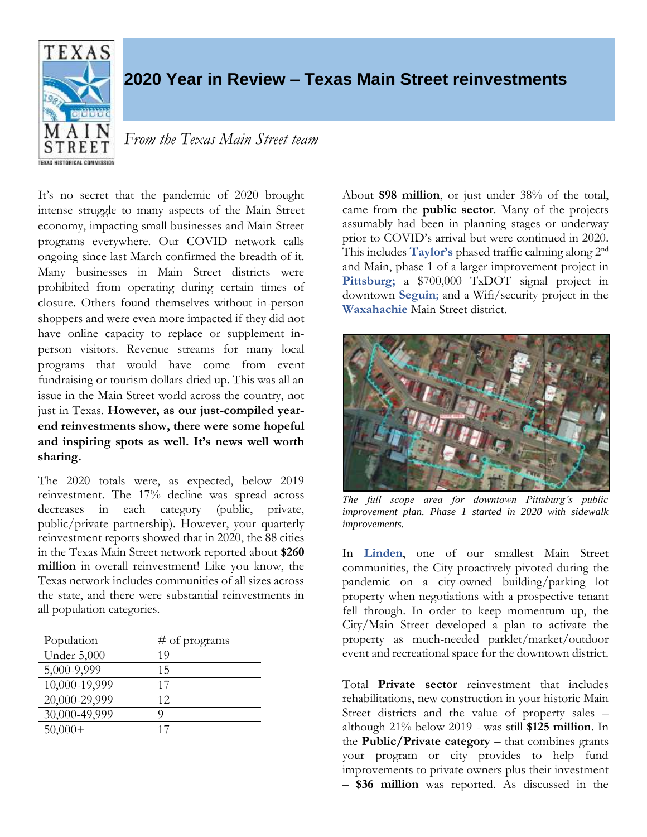

## **2020 Year in Review – Texas Main Street reinvestments**

## *From the Texas Main Street team*

It's no secret that the pandemic of 2020 brought intense struggle to many aspects of the Main Street economy, impacting small businesses and Main Street programs everywhere. Our COVID network calls ongoing since last March confirmed the breadth of it. Many businesses in Main Street districts were prohibited from operating during certain times of closure. Others found themselves without in-person shoppers and were even more impacted if they did not have online capacity to replace or supplement inperson visitors. Revenue streams for many local programs that would have come from event fundraising or tourism dollars dried up. This was all an issue in the Main Street world across the country, not just in Texas. **However, as our just-compiled yearend reinvestments show, there were some hopeful and inspiring spots as well. It's news well worth sharing.**

The 2020 totals were, as expected, below 2019 reinvestment. The 17% decline was spread across decreases in each category (public, private, public/private partnership). However, your quarterly reinvestment reports showed that in 2020, the 88 cities in the Texas Main Street network reported about **\$260 million** in overall reinvestment! Like you know, the Texas network includes communities of all sizes across the state, and there were substantial reinvestments in all population categories.

| Population         | # of programs |
|--------------------|---------------|
| <b>Under 5,000</b> | 19            |
| 5,000-9,999        | 15            |
| 10,000-19,999      | 17            |
| 20,000-29,999      | 12            |
| 30,000-49,999      | O             |
| $50,000+$          | 17            |

About **\$98 million**, or just under 38% of the total, came from the **public sector**. Many of the projects assumably had been in planning stages or underway prior to COVID's arrival but were continued in 2020. This includes **Taylor's** phased traffic calming along 2nd and Main, phase 1 of a larger improvement project in Pittsburg; a \$700,000 TxDOT signal project in downtown **Seguin**; and a Wifi/security project in the **Waxahachie** Main Street district.



*The full scope area for downtown Pittsburg's public improvement plan. Phase 1 started in 2020 with sidewalk improvements.*

In **Linden**, one of our smallest Main Street communities, the City proactively pivoted during the pandemic on a city-owned building/parking lot property when negotiations with a prospective tenant fell through. In order to keep momentum up, the City/Main Street developed a plan to activate the property as much-needed parklet/market/outdoor event and recreational space for the downtown district.

Total **Private sector** reinvestment that includes rehabilitations, new construction in your historic Main Street districts and the value of property sales – although 21% below 2019 - was still **\$125 million**. In the **Public/Private category** – that combines grants your program or city provides to help fund improvements to private owners plus their investment – **\$36 million** was reported. As discussed in the